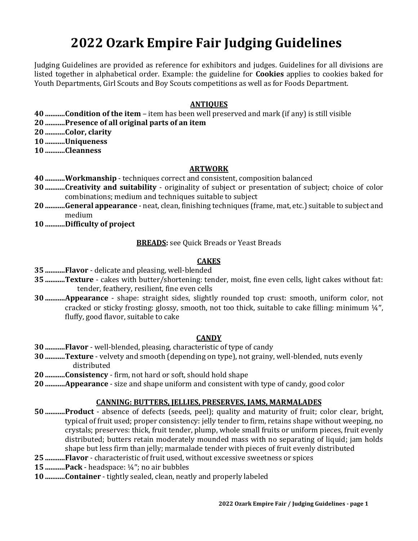# **2022 Ozark Empire Fair Judging Guidelines**

Judging Guidelines are provided as reference for exhibitors and judges. Guidelines for all divisions are listed together in alphabetical order. Example: the guideline for **Cookies** applies to cookies baked for Youth Departments, Girl Scouts and Boy Scouts competitions as well as for Foods Department.

#### **ANTIQUES**

- **40 ...........Condition of the item** item has been well preserved and mark (if any) is still visible
- **20 ...........Presence of all original parts of an item**
- **20 ...........Color, clarity**
- **10 ...........Uniqueness**
- **10 ...........Cleanness**

#### **ARTWORK**

- **40 ...........Workmanship** techniques correct and consistent, composition balanced
- **30 ...........Creativity and suitability** originality of subject or presentation of subject; choice of color combinations; medium and techniques suitable to subject
- **20 ...........General appearance** neat, clean, finishing techniques (frame, mat, etc.) suitable to subject and medium
- **10 ...........Difficulty of project**

**BREADS:** see Quick Breads or Yeast Breads

## **CAKES**

- **35 ...........Flavor** delicate and pleasing, well-blended
- **35 ...........Texture** cakes with butter/shortening: tender, moist, fine even cells, light cakes without fat: tender, feathery, resilient, fine even cells
- **30 ...........Appearance** shape: straight sides, slightly rounded top crust: smooth, uniform color, not cracked or sticky frosting: glossy, smooth, not too thick, suitable to cake filling: minimum  $\frac{1}{4}$ , fluffy, good flavor, suitable to cake

#### **CANDY**

- **30 ...........Flavor** well-blended, pleasing, characteristic of type of candy
- **30 ...........Texture** velvety and smooth (depending on type), not grainy, well-blended, nuts evenly distributed
- **20 ...........Consistency** firm, not hard or soft, should hold shape
- **20 ...........Appearance** size and shape uniform and consistent with type of candy, good color

#### **CANNING: BUTTERS, JELLIES, PRESERVES, JAMS, MARMALADES**

- **50 ...........Product** absence of defects (seeds, peel); quality and maturity of fruit; color clear, bright, typical of fruit used; proper consistency: jelly tender to firm, retains shape without weeping, no crystals; preserves: thick, fruit tender, plump, whole small fruits or uniform pieces, fruit evenly distributed; butters retain moderately mounded mass with no separating of liquid; jam holds shape but less firm than jelly; marmalade tender with pieces of fruit evenly distributed
- **25 ...........Flavor** characteristic of fruit used, without excessive sweetness or spices
- **15 ...........Pack** headspace: ¼; no air bubbles
- **10 ...........Container** tightly sealed, clean, neatly and properly labeled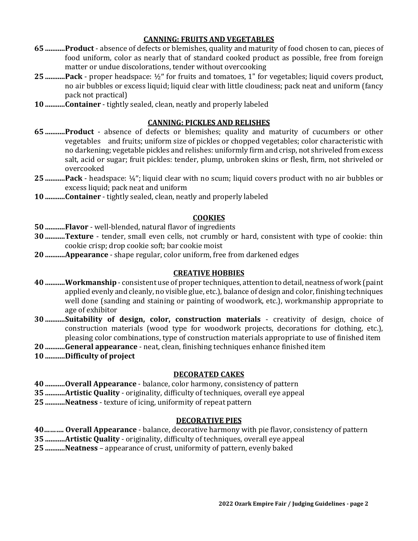## **CANNING: FRUITS AND VEGETABLES**

- **65 ...........Product** absence of defects or blemishes, quality and maturity of food chosen to can, pieces of food uniform, color as nearly that of standard cooked product as possible, free from foreign matter or undue discolorations, tender without overcooking
- **25 ...........Pack** proper headspace: ½ for fruits and tomatoes, 1" for vegetables; liquid covers product, no air bubbles or excess liquid; liquid clear with little cloudiness; pack neat and uniform (fancy pack not practical)
- **10 ...........Container** tightly sealed, clean, neatly and properly labeled

#### **CANNING: PICKLES AND RELISHES**

- **65 ...........Product** absence of defects or blemishes; quality and maturity of cucumbers or other vegetables and fruits; uniform size of pickles or chopped vegetables; color characteristic with no darkening; vegetable pickles and relishes: uniformly firm and crisp, not shriveled from excess salt, acid or sugar; fruit pickles: tender, plump, unbroken skins or flesh, firm, not shriveled or overcooked
- **25 ...........Pack** headspace: ¼; liquid clear with no scum; liquid covers product with no air bubbles or excess liquid; pack neat and uniform
- **10 ...........Container** tightly sealed, clean, neatly and properly labeled

## **COOKIES**

- **50 ...........Flavor** well-blended, natural flavor of ingredients
- **30 ...........Texture** tender, small even cells, not crumbly or hard, consistent with type of cookie: thin cookie crisp; drop cookie soft; bar cookie moist
- **20 ...........Appearance** shape regular, color uniform, free from darkened edges

#### **CREATIVE HOBBIES**

- **40 ...........Workmanship** consistent use of proper techniques, attention to detail, neatness of work (paint applied evenly and cleanly, no visible glue, etc.), balance of design and color, finishing techniques well done (sanding and staining or painting of woodwork, etc.), workmanship appropriate to age of exhibitor
- **30 ...........Suitability of design, color, construction materials** creativity of design, choice of construction materials (wood type for woodwork projects, decorations for clothing, etc.), pleasing color combinations, type of construction materials appropriate to use of finished item
- **20 ...........General appearance** neat, clean, finishing techniques enhance finished item
- **10 ...........Difficulty of project**

## **DECORATED CAKES**

**40 ...........Overall Appearance** - balance, color harmony, consistency of pattern

- **35 ...........Artistic Quality** originality, difficulty of techniques, overall eye appeal
- **25 ...........Neatness** texture of icing, uniformity of repeat pattern

## **DECORATIVE PIES**

- **40………. Overall Appearance** balance, decorative harmony with pie flavor, consistency of pattern
- **35 ...........Artistic Quality** originality, difficulty of techniques, overall eye appeal

**25 ...........Neatness** – appearance of crust, uniformity of pattern, evenly baked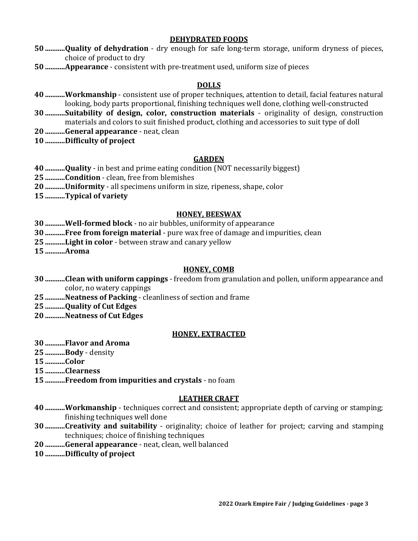#### **DEHYDRATED FOODS**

- **...........Quality of dehydration** dry enough for safe long-term storage, uniform dryness of pieces, choice of product to dry
- **...........Appearance** consistent with pre-treatment used, uniform size of pieces

#### **DOLLS**

- **...........Workmanship** consistent use of proper techniques, attention to detail, facial features natural looking, body parts proportional, finishing techniques well done, clothing well-constructed
- **...........Suitability of design, color, construction materials** originality of design, construction materials and colors to suit finished product, clothing and accessories to suit type of doll
- **...........General appearance** neat, clean
- **...........Difficulty of project**

#### **GARDEN**

- **...........Quality** in best and prime eating condition (NOT necessarily biggest)
- **...........Condition** clean, free from blemishes
- **...........Uniformity** all specimens uniform in size, ripeness, shape, color
- **...........Typical of variety**

## **HONEY, BEESWAX**

- **...........Well-formed block** no air bubbles, uniformity of appearance
- **...........Free from foreign material** pure wax free of damage and impurities, clean
- **...........Light in color** between straw and canary yellow
- **...........Aroma**

#### **HONEY, COMB**

- **...........Clean with uniform cappings** freedom from granulation and pollen, uniform appearance and color, no watery cappings
- **...........Neatness of Packing** cleanliness of section and frame
- **...........Quality of Cut Edges**
- **...........Neatness of Cut Edges**

#### **HONEY, EXTRACTED**

- **...........Flavor and Aroma**
- **...........Body** density
- **...........Color**
- **...........Clearness**
- **...........Freedom from impurities and crystals** no foam

#### **LEATHER CRAFT**

- **...........Workmanship** techniques correct and consistent; appropriate depth of carving or stamping; finishing techniques well done
- **...........Creativity and suitability** originality; choice of leather for project; carving and stamping techniques; choice of finishing techniques
- **...........General appearance** neat, clean, well balanced
- **...........Difficulty of project**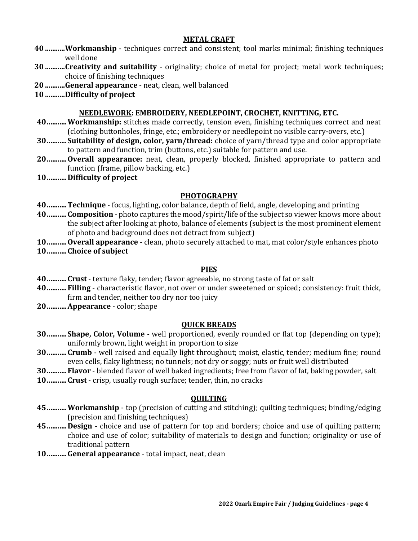#### **METAL CRAFT**

- **40 ...........Workmanship** techniques correct and consistent; tool marks minimal; finishing techniques well done
- **30 ...........Creativity and suitability** originality; choice of metal for project; metal work techniques; choice of finishing techniques
- **20 ...........General appearance** neat, clean, well balanced
- **10 ...........Difficulty of project**

## **NEEDLEWORK: EMBROIDERY, NEEDLEPOINT, CROCHET, KNITTING, ETC.**

- **40...........Workmanship:** stitches made correctly, tension even, finishing techniques correct and neat (clothing buttonholes, fringe, etc.; embroidery or needlepoint no visible carry-overs, etc.)
- **30...........Suitability of design, color, yarn/thread:** choice of yarn/thread type and color appropriate to pattern and function, trim (buttons, etc.) suitable for pattern and use.
- **20...........Overall appearance:** neat, clean, properly blocked, finished appropriate to pattern and function (frame, pillow backing, etc.)
- **10...........Difficulty of project**

# **PHOTOGRAPHY**

**40...........Technique** - focus, lighting, color balance, depth of field, angle, developing and printing

- **40...........Composition** photo captures the mood/spirit/life of the subject so viewer knows more about the subject after looking at photo, balance of elements (subject is the most prominent element of photo and background does not detract from subject)
- **10...........Overall appearance** clean, photo securely attached to mat, mat color/style enhances photo **10...........Choice of subject**

## **PIES**

- **40...........Crust** texture flaky, tender; flavor agreeable, no strong taste of fat or salt
- **40...........Filling** characteristic flavor, not over or under sweetened or spiced; consistency: fruit thick, firm and tender, neither too dry nor too juicy
- **20...........Appearance** color; shape

## **QUICK BREADS**

- **30...........Shape, Color, Volume** well proportioned, evenly rounded or flat top (depending on type); uniformly brown, light weight in proportion to size
- **30...........Crumb** well raised and equally light throughout; moist, elastic, tender; medium fine; round even cells, flaky lightness; no tunnels; not dry or soggy; nuts or fruit well distributed
- **30...........Flavor** blended flavor of well baked ingredients; free from flavor of fat, baking powder, salt
- **10...........Crust** crisp, usually rough surface; tender, thin, no cracks

## **QUILTING**

- **45...........Workmanship** top (precision of cutting and stitching); quilting techniques; binding/edging (precision and finishing techniques)
- **45...........Design** choice and use of pattern for top and borders; choice and use of quilting pattern; choice and use of color; suitability of materials to design and function; originality or use of traditional pattern
- **10...........General appearance** total impact, neat, clean